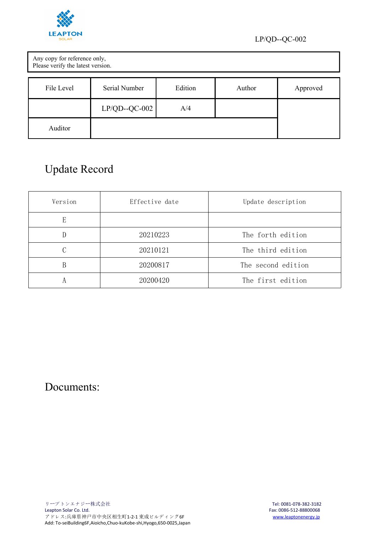

| Any copy for reference only,<br>Please verify the latest version. |                |         |        |          |
|-------------------------------------------------------------------|----------------|---------|--------|----------|
| File Level                                                        | Serial Number  | Edition | Author | Approved |
|                                                                   | $LP/QD-QC-002$ | A/4     |        |          |
| Auditor                                                           |                |         |        |          |

# Update Record

| Version | Effective date | Update description |
|---------|----------------|--------------------|
| E       |                |                    |
| D       | 20210223       | The forth edition  |
|         | 20210121       | The third edition  |
| В       | 20200817       | The second edition |
|         | 20200420       | The first edition  |

Documents: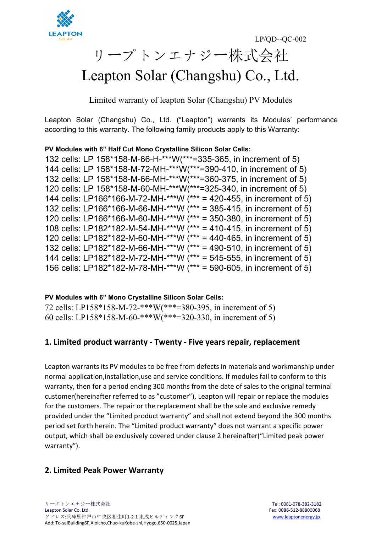

# リープトンエナジー株式会社 Leapton Solar (Changshu) Co., Ltd.

Limited warranty of leapton Solar (Changshu) PV Modules

Leapton Solar (Changshu) Co., Ltd. ("Leapton") warrants its Modules' performance according to this warranty. The following family products apply to this Warranty:

#### **PV Modules with 6" Half Cut Mono Crystalline Silicon Solar Cells:**

132 cells: LP 158\*158-M-66-H-\*\*\*W(\*\*\*=335-365, in increment of 5) 144 cells: LP 158\*158-M-72-MH-\*\*\*W(\*\*\*=390-410, in increment of 5) 132 cells: LP 158\*158-M-66-MH-\*\*\*W(\*\*\*=360-375, in increment of 5) 120 cells: LP 158\*158-M-60-MH-\*\*\*W(\*\*\*=325-340, in increment of 5) 144 cells: LP166\*166-M-72-MH-\*\*\*W (\*\*\* = 420-455, in increment of 5) 132 cells: LP166\*166-M-66-MH-\*\*\*W (\*\*\* = 385-415, in increment of 5) 120 cells: LP166\*166-M-60-MH-\*\*\*W (\*\*\* = 350-380, in increment of 5) 108 cells: LP182\*182-M-54-MH-\*\*\*W  $*$ \*\*\* = 410-415, in increment of 5) 120 cells: LP182\*182-M-60-MH-\*\*\*W  $(*** = 440-465)$ , in increment of 5) 132 cells: LP182\*182-M-66-MH-\*\*\*W (\*\*\* = 490-510, in increment of 5) 144 cells: LP182\*182-M-72-MH-\*\*\*W (\*\*\* = 545-555, in increment of 5) 156 cells: LP182\*182-M-78-MH-\*\*\*W (\*\*\* = 590-605, in increment of 5)

#### **PV Modules with 6" Mono Crystalline Silicon Solar Cells:**

72 cells: LP158\*158-M-72-\*\*\*W(\*\*\*=380-395, in incrementof 5) 60 cells: LP158\*158-M-60-\*\*\*W(\*\*\*=320-330, in incrementof 5)

#### **1. Limited product warranty - Twenty - Five years repair, replacement**

Leapton warrants its PV modules to be free from defects in materials and workmanship under normal application,installation,use and service conditions. If modules fail to conform to this warranty, then for a period ending 300 months from the date of sales to the original terminal customer(hereinafter referred to as "customer"), Leapton will repair or replace the modules for the customers. The repair or the replacement shall be the sole and exclusive remedy provided under the "Limited product warranty" and shall notextend beyond the 300 months period set forth herein. The "Limited product warranty" does not warrant a specific power output, which shall be exclusively covered under clause 2 hereinafter("Limited peak power warranty").

## **2. Limited Peak Power Warranty**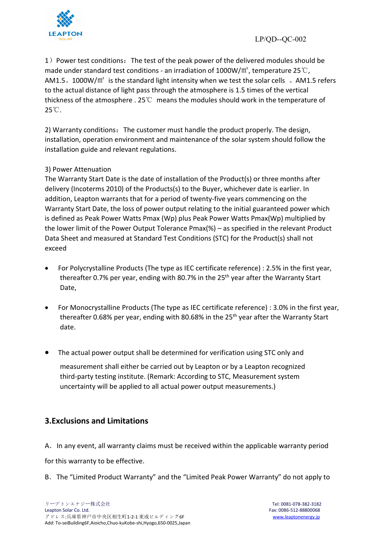

1) Power test conditions: The test of the peak power of the delivered modules should be made under standard test conditions - an irradiation of 1000W/ $m^2$ , temperature 25 °C, AM1.5。1000W/㎡ is the standard light intensity when we test the solar cells 。AM1.5 refers to the actual distance of light pass through the atmosphere is 1.5 times of the vertical thickness of the atmosphere . 25℃ means the modules should work in the temperature of 25℃.

2) Warranty conditions: The customer must handle the product properly. The design, installation, operation environment and maintenance of the solar system should follow the installation guide and relevant regulations.

#### 3) Power Attenuation

The Warranty Start Date is the date of installation of the Product(s) or three months after delivery (Incoterms 2010) of the Products(s) to the Buyer, whichever date is earlier. In addition, Leapton warrants that for a period of twenty-five years commencing on the Warranty Start Date, the loss of power output relating to the initial guaranteed power which is defined as Peak Power Watts Pmax (Wp) plus Peak Power Watts Pmax(Wp) multiplied by the lower limit of the Power Output Tolerance  $Pmax(\%)$  – as specified in the relevant Product Data Sheet and measured at Standard Test Conditions (STC) for the Product(s) shall not exceed

- For Polycrystalline Products (The type as IEC certificate reference) : 2.5% in the first year, thereafter 0.7% per year, ending with 80.7% in the 25<sup>th</sup> year after the Warranty Start Date,
- For Monocrystalline Products (The type as IEC certificate reference) : 3.0% in the first year, thereafter 0.68% per year, ending with 80.68% in the 25<sup>th</sup> year after the Warranty Start date.
- The actual power output shall be determined for verification using STC only and

measurement shall either be carried out by Leapton or by a Leapton recognized third-party testing institute. (Remark: According to STC, Measurement system uncertainty will be applied to all actual power output measurements.)

## **3.Exclusions and Limitations**

A. In any event, all warranty claims must be received within the applicable warranty period

for this warranty to be effective.<br>B. The "Limited Product Warranty" and the "Limited Peak Power Warranty" do not apply to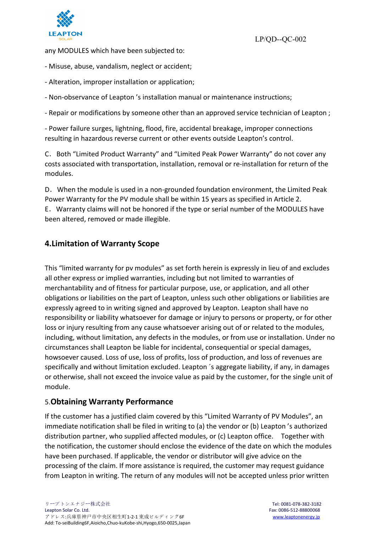

any MODULES which have been subjected to:

- Misuse, abuse, vandalism, neglect or accident;
- Alteration, improper installation or application;
- Non-observance of Leapton 's installation manual or maintenance instructions;

- Repair or modifications by someone other than an approved service technician of Leapton ;

- Power failure surges, lightning, flood, fire, accidental breakage, improper connections resulting in hazardous reverse current or other events outside Leapton's control.

C.Both "Limited Product Warranty" and "Limited Peak Power Warranty" do not cover any costs associated with transportation, installation, removal or re-installation for return of the modules.

D.When the module is used in a non-grounded foundation environment, the Limited Peak Power Warranty for the PV module shall be within 15 years as specified in Article 2. E.Warranty claims will not be honored if the type or serial number of the MODULES have been altered, removed or made illegible.

#### **4.Limitation of Warranty Scope**

This "limited warranty for pv modules" as set forth herein is expressly in lieu of and excludes all other express or implied warranties, including but not limited to warranties of merchantability and offitness for particular purpose, use, or application, and all other obligations or liabilities on the part of Leapton, unless such other obligations or liabilities are expressly agreed to in writing signed and approved by Leapton.Leapton shall have no responsibility or liability whatsoever for damage or injury to persons or property, or for other loss or injury resulting from any cause whatsoever arising out of or related to the modules, including, without limitation, any defects in the modules, or from use or installation. Under no circumstances shall Leapton be liable for incidental, consequential or special damages, howsoever caused. Loss of use, loss of profits, loss of production, and loss of revenues are specifically and without limitation excluded. Leapton ´s aggregate liability, if any, in damages or otherwise, shall not exceed the invoice value as paid by the customer, for the single unit of module.

#### 5.**Obtaining Warranty Performance**

If the customer has a justified claim covered by this "Limited Warranty of PV Modules", an immediate notification shall be filed in writing to (a) the vendor or (b) Leapton 's authorized distribution partner, who supplied affected modules, or (c) Leapton office. Together with the notification, the customer should enclose the evidence of the date on which the modules have been purchased. If applicable, the vendor or distributor will give advice on the processing of the claim. If more assistance is required, the customer may request guidance from Leapton in writing. The return of any modules will not be accepted unless prior written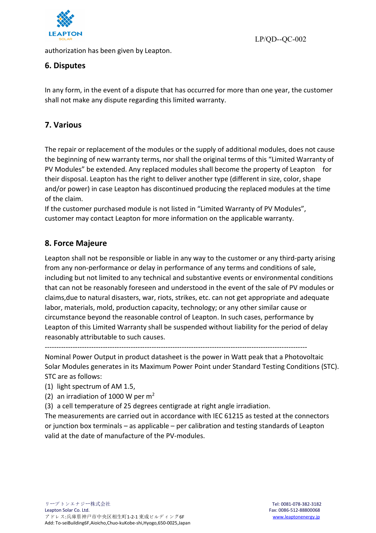

authorization has been given by Leapton.

LP/QD--QC-002

# **6. Disputes**

In any form, in the event of a dispute that has occurred for more than one year, the customer shall not make any dispute regarding this limited warranty.

# **7. Various**

The repair or replacement of the modules or the supply of additional modules, does not cause the beginning of new warranty terms, nor shall the original terms of this "Limited Warranty of PV Modules" be extended. Any replaced modules shall become the property of Leapton for their disposal. Leapton has the right to deliver another type (different in size, color, shape and/or power) in case Leapton has discontinued producing the replaced modules at the time of the claim.

If the customer purchased module is not listed in "Limited Warranty of PV Modules", customer may contact Leapton for more information on the applicable warranty.

# **8. Force Majeure**

Leapton shall not be responsible or liable in any way to the customer or any third-party arising from any non-performance or delay in performance of any terms and conditions of sale, including but not limited to any technical and substantive events or environmental conditions that can not be reasonably foreseen and understood in the event of the sale of PV modules or claims,due to natural disasters, war, riots, strikes, etc. can not get appropriate and adequate labor, materials, mold, production capacity, technology; or any other similar cause or circumstance beyond the reasonable control of Leapton. In such cases, performance by Leapton of this Limited Warranty shall be suspended without liability for the period of delay reasonably attributable to such causes.

-----------------------------------------------------------------------------------------------------------------

Nominal Power Output in product datasheet is the powerin Watt peak that a Photovoltaic Solar Modules generates in its Maximum Power Point under Standard Testing Conditions (STC). STC are as follows:

- (1) light spectrum of AM 1.5,
- (2) an irradiation of 1000 W per  $m<sup>2</sup>$
- (3) a cell temperature of 25 degrees centigrade at right angle irradiation.

The measurements are carried out in accordance with IEC 61215 as tested at the connectors or junction box terminals – as applicable – per calibration and testing standards of Leapton valid at the date of manufacture of the PV-modules.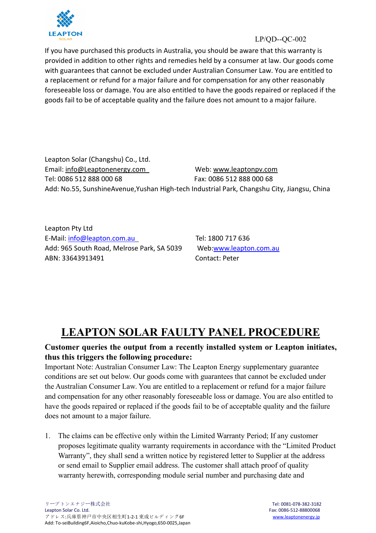

If you have purchased this products in Australia, you should be aware that this warranty is provided in addition to other rights and remedies held by a consumer at law. Our goods come with guarantees that cannot be excluded under Australian Consumer Law. You are entitled to a replacement or refund for a major failure and for compensation for any other reasonably foreseeable loss or damage. You are also entitled to have the goods repaired or replaced if the goods fail to be of acceptable quality and the failure does not amount to a major failure.

Leapton Solar (Changshu) Co., Ltd. Email: [info@Leaptonenergy.com](mailto:info@Leaptonenergy.com) Web: [www.leaptonpv.com](http://www.leaptonpv.com) Tel: 0086 512 888 000 68 Fax: 0086 512 888 000 68 Add: No.55, SunshineAvenue,Yushan High-tech Industrial Park, Changshu City, Jiangsu, China

Leapton Pty Ltd E-Mail: [info@leapton.com.au](mailto:info@leapton.com.au) Tel: 1800 717 636 Add: 965 South Road, Melrose Park, SA 5039 Web:[www.leapton.com.au](https://www.sunterra.com.au/) ABN: 33643913491 Contact: Peter

# **LEAPTON SOLAR FAULTY PANEL PROCEDURE**

## **Customer queries the output from a recently installed system or Leapton initiates, thus this triggers the following procedure:**

Important Note: Australian Consumer Law: The Leapton Energy supplementary guarantee conditions are set out below. Our goods come with guarantees that cannot be excluded under the Australian Consumer Law. You are entitled to a replacement or refund for a major failure and compensation for any other reasonably foreseeable loss or damage. You are also entitled to have the goods repaired or replaced if the goods fail to be of acceptable quality and the failure does not amount to a major failure.

1. The claims can be effective only within the Limited Warranty Period; If any customer proposes legitimate quality warranty requirements in accordance with the "Limited Product Warranty", they shall send a written notice by registered letter to Supplier at the address or send email to Supplier email address. The customer shall attach proof of quality warranty herewith, corresponding module serial number and purchasing date and